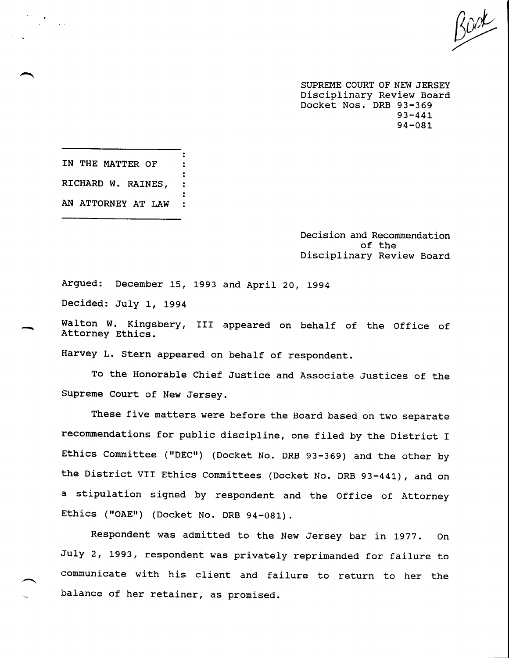SUPREME COURT OF NEW JERSEY Disciplinary Review Board Docket Nos. DRB 93-369 93-441 94-081

**IN THE MATTER OF RICHARD W. RAINES, AN ATTORNEY AT LAW**

> Decision and Recommendation of the Disciplinary Review Board

Argued: December 15, 1993 and April 20, 199 Decided: July i, 1994

Walton W. Kingsbery, III appeared on behalf of the Office of Attorney Ethics.

Harvey L. Stern appeared on behalf of respondent.

To the Honorable Chief Justice and Associate Justices of the Supreme Court of New Jersey.

These five matters were before the Board based on two separate recommendations for public discipline, one filed by the District I Ethics Committee ("DEC") (Docket No. DRB 93-369) and the other by the District VII Ethics Committees (Docket No. DRB 93-441), and on a stipulation signed by respondent and the Office of Attorney Ethics ("OAE") (Docket No. DRB 94-081).

Respondent was admitted to the New Jersey bar in 1977. On July 2, 1993, respondent was privately reprimanded for failure to communicate with his client and failure to return to her the balance of her retainer, as promised.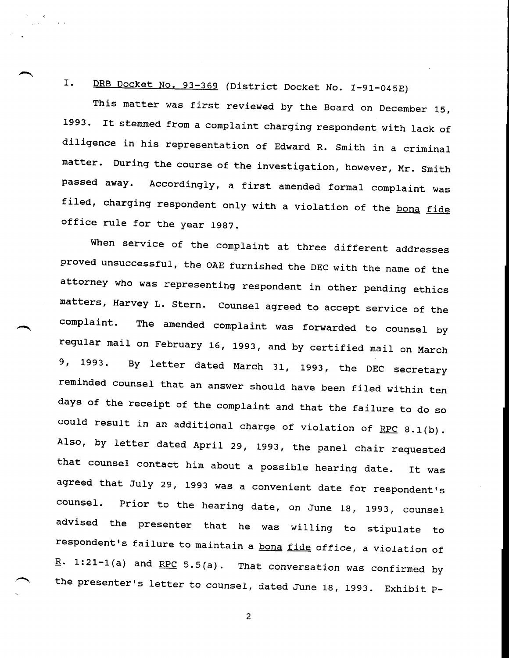I. DRB Docket No. 93-369 (District Docket No. I-91-045E)

This matter was first reviewed by the Board on December 15, 1993. It stemmed from a complaint charging respondent with lack of diligence in his representation of Edward R. Smith in a criminal matter. During the course of the investigation, however, Mr. Smith passed away. Accordingly, a first amended formal complaint was filed, charging respondent only with a violation of the bona fide office rule for the year 1987.

When service of the complaint at three different addresses proved unsuccessful, the OAE furnished the DEC with the name of the attorney who was representing respondent in other pending ethics matters, Harvey L. Stern. Counsel agreed to accept service of the complaint. The amended complaint was forwarded to counsel by regular mail on February 16, 1993, and by certified mail on March 9, 1993. By letter dated March 31, 1993, the DEC secretary reminded counsel that an answer should have been filed within ten days of the receipt of the complaint and that the failure to do so could result in an additional charge of violation of RPC 8.1(b). Also, by letter dated April 29, 1993, the panel chair requested that counsel contact him about a possible hearing date. It was agreed that July 29, 1993 was a convenient date for respondent's counsel. Prior to the hearing date, on June 18, 1993, counsel advised the presenter that he was willing to stipulate to respondent's failure to maintain a bona fide office, a violation of  $R. 1:21-1(a)$  and RPC 5.5(a). That conversation was confirmed by the presenter's letter to counsel, dated June 18, 1993. Exhibit P-

 $\overline{c}$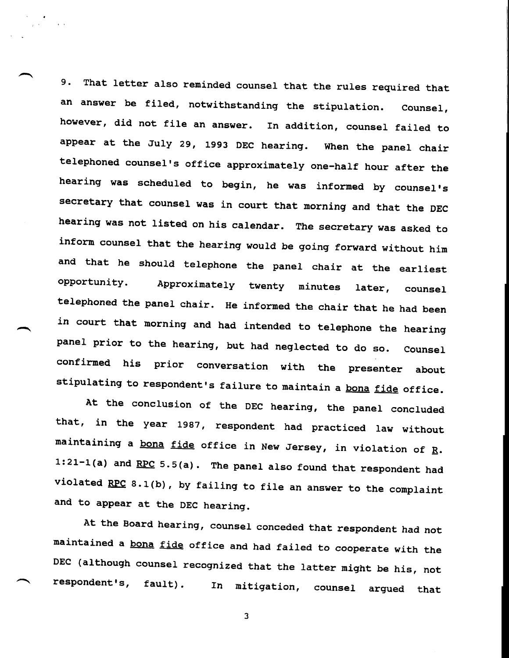9. That letter also reminded counsel that the rules required that an answer be filed, notwithstanding the stipulation. Counsel, however, did not file an answer. In addition, counsel failed to appear at the July 29, 1993 DEC hearing. When the panel chair telephoned counsel's office approximately one-half hour after the hearing was scheduled to begin, he was informed by counsel's secretary that counsel was in court that morning and that the DEC hearing was not listed on his calendar. The secretary was asked to inform counsel that the hearing would be going forward without him and that he should telephone the panel chair at the earliest opportunity. Approximately twenty minutes later, counsel telephoned the panel chair. He informed the chair that he had been in court that morning and had intended to telephone the hearing panel prior to the hearing, but had neglected to do so. Counsel confirmed his prior conversation with the presenter about stipulating to respondent's failure to maintain a bona fide office.

At the conclusion of the DEC hearing, the panel concluded that, in the year 1987, respondent had practiced law without maintaining a bona fide office in New Jersey, in violation of  $R$ .  $1:21-1(a)$  and  $RPC$  5.5(a). The panel also found that respondent had violated RPC 8.1(b), by failing to file an answer to the complaint and to appear at the DEC hearing.

At the Board hearing, counsel conceded that respondent had not maintained a bona fide office and had failed to cooperate with the DEC (although counsel recognized that the latter might be his, not respondent's, fault). In mitigation, counsel argued that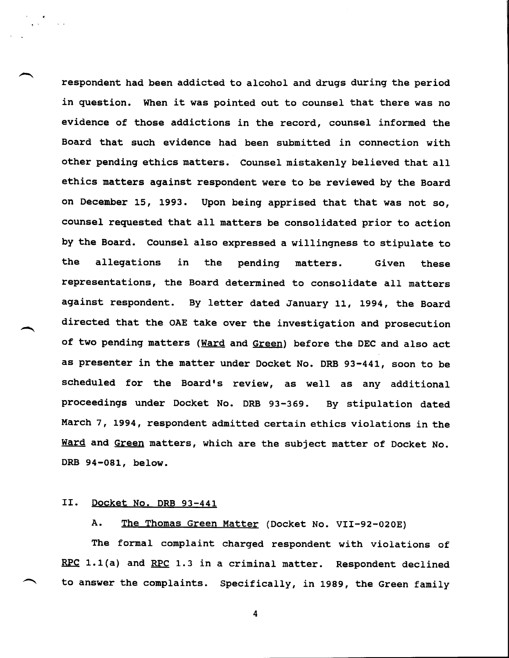respondent had been addicted to alcohol and drugs during the period in question. When it was pointed out to counsel that there was no evidence of those addictions in the record, counsel informed the Board that such evidence had been submitted in connection with other pending ethics matters. Counsel mistakenly believed that all ethics matters against respondent were to be reviewed by the Board on December 15, 1993. Upon being apprised that that was not so, counsel requested that all matters be consolidated prior to action by the Board. Counsel also expressed a willingness to stipulate to the allegations in the pending matters. Given these representations, the Board determined to consolidate all matters against respondent. By letter dated January 11, 1994, the Board directed that the OAE take over the investigation and prosecution of two pending matters (Ward and Green) before the DEC and also act as presenter in the matter under Docket No. DRB 93-441, soon to be scheduled for the Board's review, as well as any additional proceedings under Docket No. DRB 93-369. By stipulation dated March 7, 1994, respondent admitted certain ethics violations in the Ward and Green matters, which are the subject matter of Docket No. DRB 94-081, below.

## II. Docket No. DRB 93-441

A. The Thomas Green Matter (Docket No. VII-92-020E)

The formal complaint charged respondent with violations of RPC 1.1(a) and RPC 1.3 in a criminal matter. Respondent declined to answer the complaints. Specifically, in 1989, the Green family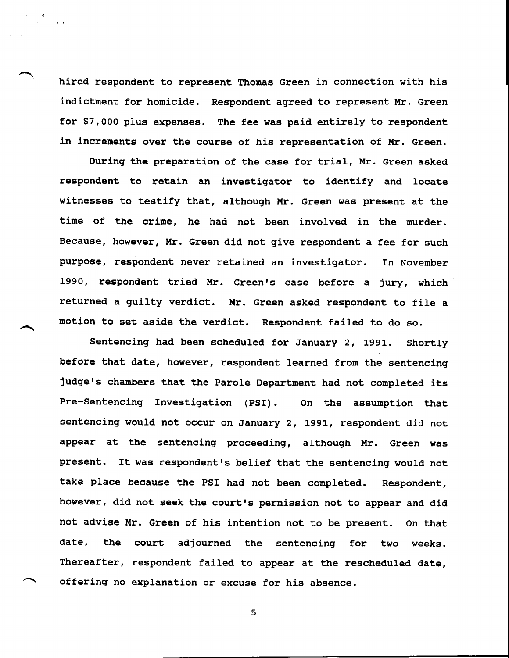hired respondent to represent Thomas Green in connection with his indictment for homicide. Respondent agreed to represent Mr. Green for \$7,000 plus expenses. The fee was paid entirely to respondent in increments over the course of his representation of Mr. Green.

During the preparation of the case for trial, Mr. Green asked respondent to retain an investigator to identify and locate witnesses to testify that, although Mr. Green was present at the time of the crime, he had not been involved in the murder. Because, however, Mr. Green did not give respondent a fee for such purpose, respondent never retained an investigator. In November 1990, respondent tried Mr. Green's case before a jury, which returned a guilty verdict. Mr. Green asked respondent to file a motion to set aside the verdict. Respondent failed to do so.

Sentencing had been scheduled for January 2, 1991. Shortly before that date, however, respondent learned from the sentencing judge's chambers that the Parole Department had not completed its Pre-Sentencing Investigation (PSI). On the assumption that sentencing would not occur on January 2, 1991, respondent did not appear at the sentencing proceeding, although Mr. Green was present. It was respondent's belief that the sentencing would not take place because the PSI had not been completed. Respondent, however, did not seek the court's permission not to appear and did not advise Mr. Green of his intention not to be present. On that date, the court adjourned the sentencing for two weeks. Thereafter, respondent failed to appear at the rescheduled date, offering no explanation or excuse for his absence.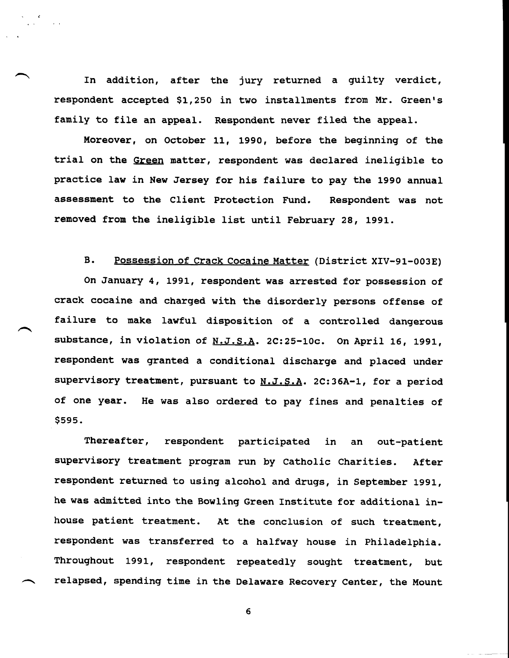In addition, after the jury returned a guilty verdict, respondent accepted \$1,250 in two installments from Mr. Green's family to file an appeal. Respondent never filed the appeal.

Moreover, on October 11, 1990, before the beginning of the trial on the Green matter, respondent was declared ineligible to practice law in New Jersey for his failure to pay the 1990 annual **assessment to the Client removed from the** ineligible list until February 28, 1991. Respondent was not

## B. Possession of Crack Cocaine Matter (District XIV-91-003E)

On January 4, 1991, respondent was arrested for possession of crack cocaine and charged with the disorderly persons offense of failure to make lawful disposition of a controlled dangerous substance, in violation of N.J.S.A. 2C:25-10c. On April 16, 1991, respondent was granted a conditional discharge and placed under supervisory treatment, pursuant to N.J.S.A. 2C:36A-1, for a period of one year. He was also ordered to pay fines and penalties of \$595.

Thereafter, respondent participated in an out-patient supervisory treatment program run by Catholic Charities. After respondent returned to using alcohol and drugs, in September 1991, he was admitted into the Bowling Green Institute for additional inhouse patient treatment. At the conclusion of such treatment, respondent was transferred to a halfway house in Philadelphia. Throughout 1991, respondent repeatedly sought treatment, but relapsed, spending time in the Delaware Recovery Center, the Mount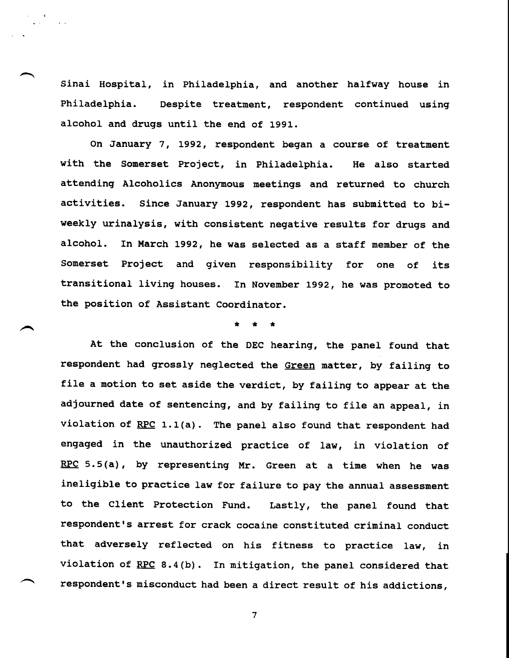Sinai Hospital, in Philadelphia, and another halfway house in Philadelphia. Despite treatment, respondent continued using alcohol and drugs until the end of 1991.

On January 7, 1992, respondent began a course of treatment with the Somerset Project, in Philadelphia. He also started attending Alcoholics Anonymous meetings and returned to church activities. Since January 1992, respondent has submitted to biweekly urinalysis, with consistent negative results for drugs and alcohol. In March 1992, he was selected as a staff member of the Somerset Project and given responsibility for one of its transitional living houses. In November 1992, he was promoted to the position of Assistant Coordinator.

# \* \* \*

At the conclusion of the DEC hearing, the panel found that respondent had grossly neglected the Green matter, by failing to file a motion to set aside the verdict, by failing to appear at the adjourned date of sentencing, and by failing to file an appeal, in violation of  $RPC$  1.1(a). The panel also found that respondent had engaged in the unauthorized practice of law, in violation of RPC 5.5(a), by representing Mr. Green at a time when he was ineligible to practice law for failure to pay the annual assessment to the Client Protection Fund. Lastly, the panel found that respondent's arrest for crack cocaine constituted criminal conduct that adversely reflected on his fitness to practice law, in violation of RPC 8.4(b). In mitigation, the panel considered that respondent's misconduct had been a direct result of his addictions,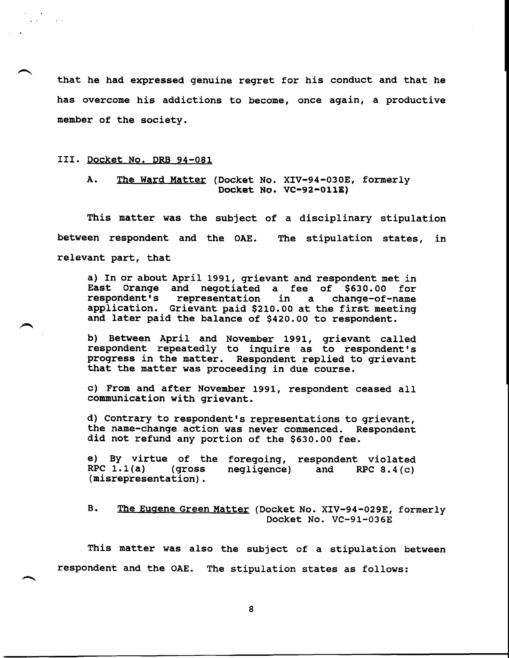that he had expressed genuine regret for his conduct and that he has overcome his addictions to become, once again, a productive member of the society.

#### III. Docket No. DRB 94-081

## A. The Ward Matter (Docket No. XIV-94-030E, formerly Docket No, VC-92-OIIE)

This matter was the subject of a disciplinary stipulation between respondent and the OAE. The stipulation states, in relevant part, that

a) In or about April 1991, grievant and respondent met in East Orange and negotiated a fee of \$630.00 for respondent's representation in a change-of-name application. Grievant paid \$210.00 at the first meeting and later paid the balance of \$420.00 to respondent.

b) Between April and November 1991, grievant called respondent repeatedly to inquire as to respondent's progress in the matter. Respondent replied to grievant that the matter was proceeding in due course.

c) From and after November 1991, respondent ceased all communication with grievant.

d) Contrary to respondent's representations to grievant, the name-change action was never commenced. Respondent did not refund any portion of the \$630.00 fee.

e) By virtue of the foregoing, respondent violated RPC  $1.1(a)$  (gross negligence) and RPC  $8.4(c)$  $(qross \tneq1iqence)$  and RPC 8.4(c) (misrepresentation).

B. The Eugene Green Matter (Docket No. XIV-94-029E, formerly Docket No. VC-91-O36E

This matter was also the subject of a stipulation between respondent and the OAE. The stipulation states as follows: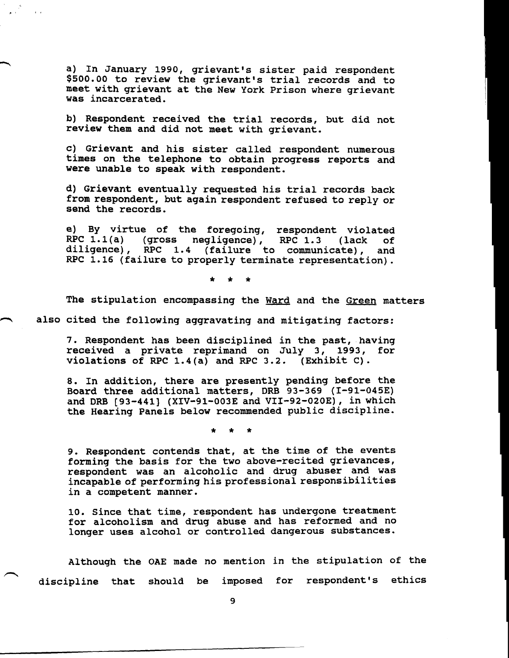a) In January 1990, grievant's sister paid respondent \$500.00 to review the grievant's trial records and to meet with grievant at the New York Prison where grievant was incarcerated.

b) Respondent received the trial records, but did not review them and did not meet with grievant.

c) Grievant and his sister called respondent numerous times on the telephone to obtain progress reports and were unable to speak with respondent.

d) Grievant eventually requested his trial records back from respondent, but again respondent refused to reply or send the records.

e) By virtue of the foregoing, respondent violated RPC l.l(a) (gross negligence), RPC 1.3 (lack of diligence), RPC 1.4 (failure to communicate), and RPC 1.16 (failure to properly terminate representation).

> $\star$  $\bullet$

The stipulation encompassing the Ward and the Green matters

also cited the following aggravating and mitigating factors:

7. Respondent has been disciplined in the past, having received a private reprimand on July 3, 1993, for violations of RPC 1.4(a) and RPC 3.2. (Exhibit C).

8. In addition, there are presently pending before the Board three additional matters, DRB 93-369 (I-91-045E) and DRB [93-441] (XIV-91-003E and VII-92-020E), in which the Hearing Panels below recommended public discipline.

9. Respondent contends that, at the time of the events forming the basis for the two above-recited grievances, respondent was an alcoholic and drug abuser and was incapable of performing his professional responsibilities in a competent manner.

i0. Since that time, respondent has undergone treatment for alcoholism and drug abuse and has reformed and no longer uses alcohol or controlled dangerous substances.

Although the OAE made no mention in the stipulation of the discipline that should be imposed for respondent's ethics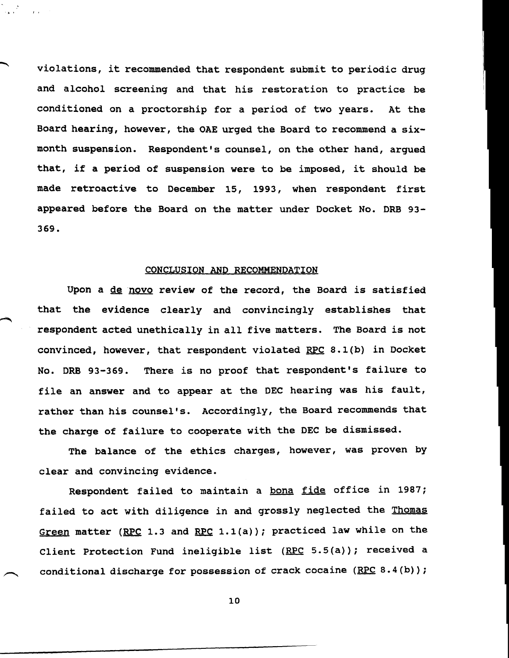violations, it recommended that respondent submit to periodic drug and alcohol screening and that his restoration to practice be conditioned on a proctorship for a period of two years. At the Board hearing, however, the OAE urged the Board to recommend a sixmonth suspension. Respondent's counsel, on the other hand, argued that, if a period of suspension were to be imposed, it should be made retroactive to December 15, 1993, when respondent first appeared before the Board on the matter under Docket No. DRB 93- 369.

### CONCLUSION AND RECOMMENDATION

Upon a de novo review of the record, the Board is satisfied that the evidence clearly and convincingly establishes that respondent acted unethically in all five matters. The Board is not convinced, however, that respondent violated RPC  $8.1(b)$  in Docket No. DRB 93-369. There is no proof that respondent's failure to file an answer and to appear at the DEC hearing was his fault, rather than his counsel's. Accordingly, the Board recommends that the charge of failure to cooperate with the DEC be dismissed.

The balance of the ethics charges, however, was proven by clear and convincing evidence.

Respondent failed to maintain a bona fide office in 1987; failed to act with diligence in and grossly neglected the Thomas Green matter (RPC 1.3 and RPC 1.1(a)); practiced law while on the Client Protection Fund ineligible list (RPC 5.5(a)); received a conditional discharge for possession of crack cocaine (RPC 8.4(b));

i0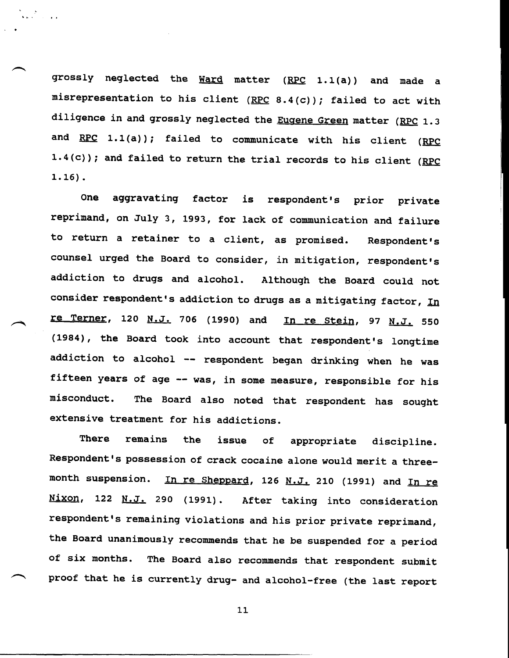grossly neglected the Ward matter (RPC 1.1(a)) and made a misrepresentation to his client  $($  RPC  $8.4$  (c)); failed to act with diligence in and grossly neglected the Eugene Green matter (RPC 1.3 and RPC 1.1(a)); failed to communicate with his client (RPC 1.4(c)); and failed to return the trial records to his client (RPC **1.16).**

One reprimand, on July 3, 1993, for lack of communication and failure to return a retainer to a client, as promised. Respondent's aggravating factor is respondent's prior private counsel urged the Board to consider, in mitigation, respondent's addiction to drugs and alcohol. Although the Board could not consider respondent's addiction to drugs as a mitigating factor,  $I_{n}$ re Terner, 120 N.J. 706 (1990) and In re Stein, 97 N.J. 550 (1984), the Board took into account that respondent's longtime addiction to alcohol -- respondent began drinking when he was fifteen years of age -- was, in some measure, responsible for his misconduct. The Board also noted that respondent has sought extensive treatment for his addictions.

There remains the issue of appropriate discipline. Respondent's possession of crack cocaine alone would merit a threemonth suspension. In re Sheppard, 126 N.J. 210 (1991) and In re Nixon, 122 N.J. 290 (1991). After taking into consideration respondent's remaining violations and his prior private reprimand, the Board unanimously recommends that he be suspended for a period of six months. The Board also recommends that respondent submit proof that he is currently drug- and alcohol-free (the last report

Ii